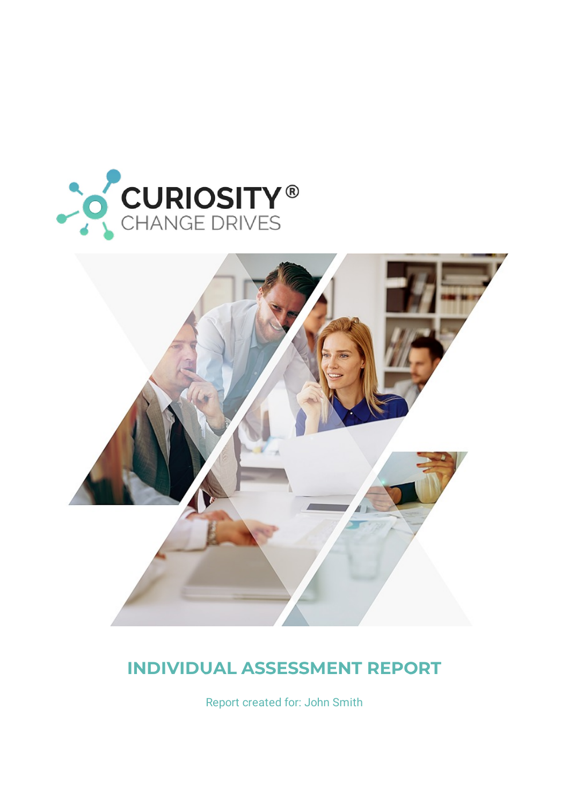



## **INDIVIDUAL ASSESSMENT REPORT**

Report created for: John Smith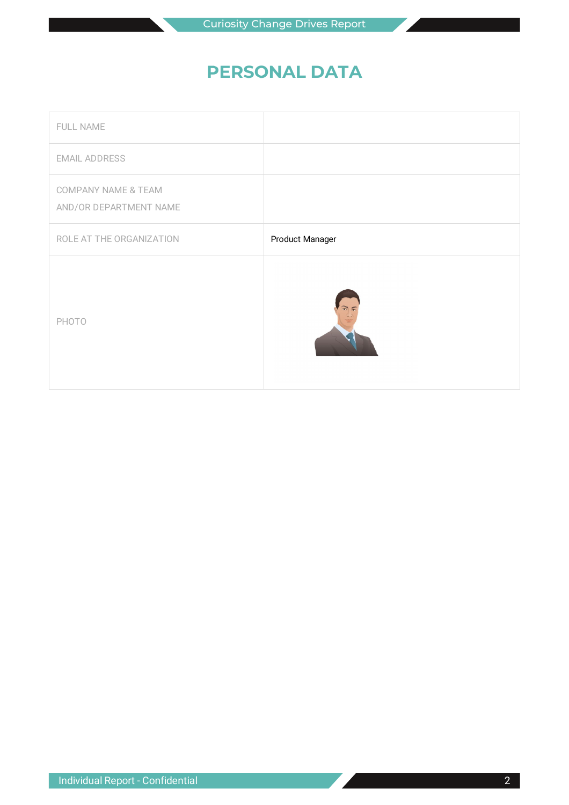### **PERSONAL DATA**

| FULL NAME                                                |                 |
|----------------------------------------------------------|-----------------|
| <b>EMAIL ADDRESS</b>                                     |                 |
| <b>COMPANY NAME &amp; TEAM</b><br>AND/OR DEPARTMENT NAME |                 |
| ROLE AT THE ORGANIZATION                                 | Product Manager |
| PHOTO                                                    |                 |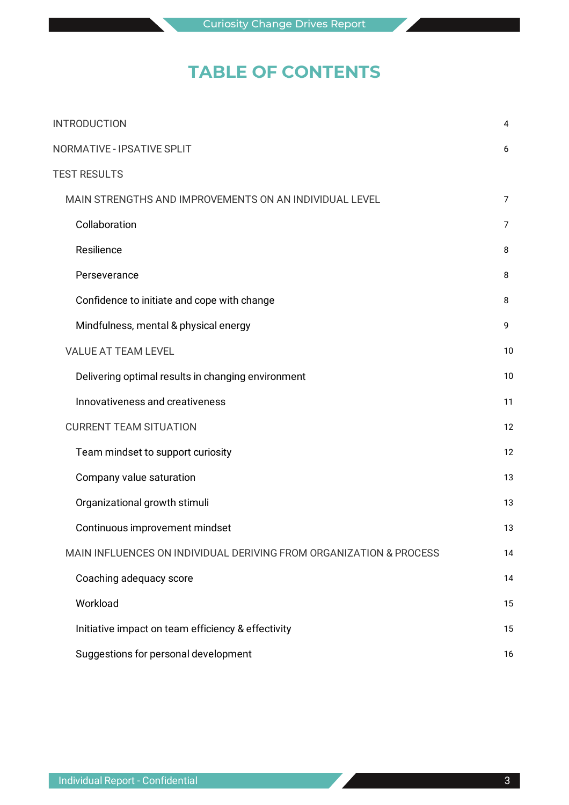### **TABLE OF CONTENTS**

| <b>INTRODUCTION</b>               |                                                                    | 4  |
|-----------------------------------|--------------------------------------------------------------------|----|
| <b>NORMATIVE - IPSATIVE SPLIT</b> |                                                                    | 6  |
| <b>TEST RESULTS</b>               |                                                                    |    |
|                                   | MAIN STRENGTHS AND IMPROVEMENTS ON AN INDIVIDUAL LEVEL             | 7  |
|                                   | Collaboration                                                      | 7  |
|                                   | Resilience                                                         | 8  |
|                                   | Perseverance                                                       | 8  |
|                                   | Confidence to initiate and cope with change                        | 8  |
|                                   | Mindfulness, mental & physical energy                              | 9  |
|                                   | <b>VALUE AT TEAM LEVEL</b>                                         | 10 |
|                                   | Delivering optimal results in changing environment                 | 10 |
|                                   | Innovativeness and creativeness                                    | 11 |
|                                   | <b>CURRENT TEAM SITUATION</b>                                      | 12 |
|                                   | Team mindset to support curiosity                                  | 12 |
|                                   | Company value saturation                                           | 13 |
|                                   | Organizational growth stimuli                                      | 13 |
|                                   | Continuous improvement mindset                                     | 13 |
|                                   | MAIN INFLUENCES ON INDIVIDUAL DERIVING FROM ORGANIZATION & PROCESS | 14 |
|                                   | Coaching adequacy score                                            | 14 |
|                                   | Workload                                                           | 15 |
|                                   | Initiative impact on team efficiency & effectivity                 | 15 |
|                                   | Suggestions for personal development                               | 16 |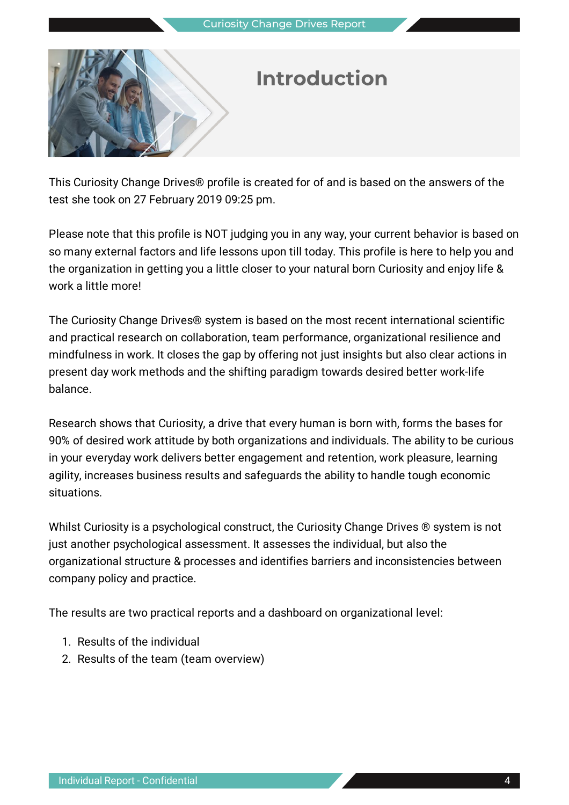

# **Introduction**

This Curiosity Change Drives® profile is created for of and is based on the answers of the test she took on 27 February 2019 09:25 pm.

Please note that this profile is NOT judging you in any way, your current behavior is based on so many external factors and life lessons upon till today. This profile is here to help you and the organization in getting you a little closer to your natural born Curiosity and enjoy life & work a little more!

The Curiosity Change Drives® system is based on the most recent international scientific and practical research on collaboration, team performance, organizational resilience and mindfulness in work. It closes the gap by offering not just insights but also clear actions in present day work methods and the shifting paradigm towards desired better work-life balance.

Research shows that Curiosity, a drive that every human is born with, forms the bases for 90% of desired work attitude by both organizations and individuals. The ability to be curious in your everyday work delivers better engagement and retention, work pleasure, learning agility, increases business results and safeguards the ability to handle tough economic situations.

Whilst Curiosity is a psychological construct, the Curiosity Change Drives ® system is not just another psychological assessment. It assesses the individual, but also the organizational structure & processes and identifies barriers and inconsistencies between company policy and practice.

The results are two practical reports and a dashboard on organizational level:

- 1. Results of the individual
- 2. Results of the team (team overview)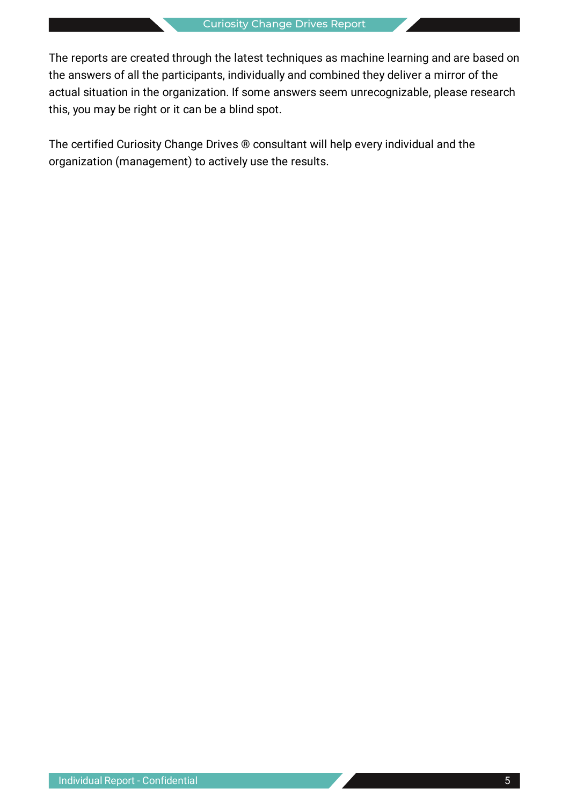The reports are created through the latest techniques as machine learning and are based on the answers of all the participants, individually and combined they deliver a mirror of the actual situation in the organization. If some answers seem unrecognizable, please research this, you may be right or it can be a blind spot.

The certified Curiosity Change Drives ® consultant will help every individual and the organization (management) to actively use the results.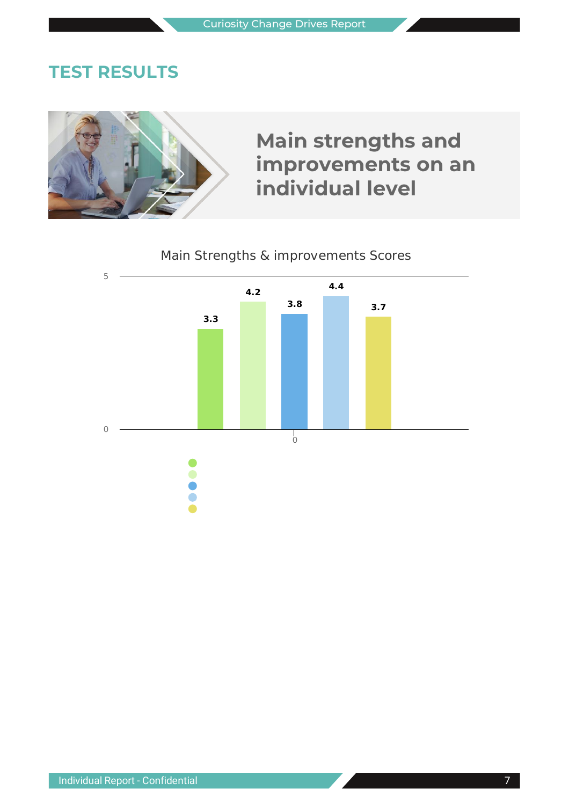### **TEST RESULTS**

# **Main strengths and improvements on an individual level**

### Main Strengths & improvements Scores